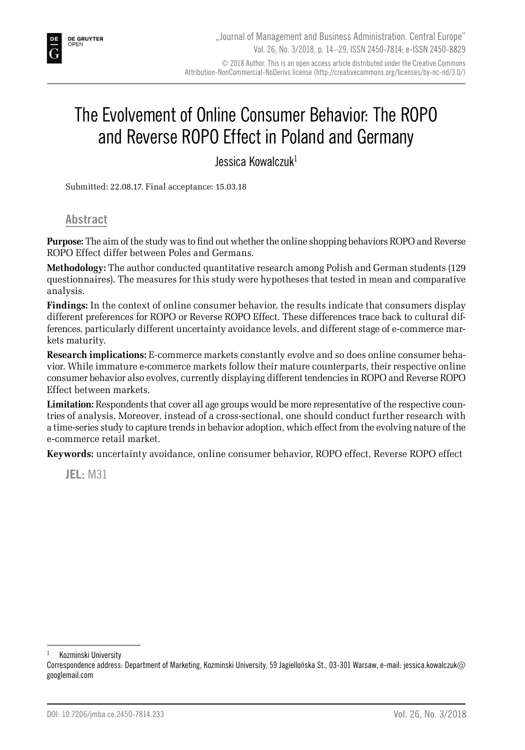# The Evolvement of Online Consumer Behavior: The ROPO and Reverse ROPO Effect in Poland and Germany

Jessica Kowalczuk1

Submitted: 22.08.17. Final acceptance: 15.03.18

#### **Abstract**

**Purpose:** The aim of the study was to find out whether the online shopping behaviors ROPO and Reverse ROPO Effect differ between Poles and Germans.

**Methodology:** The author conducted quantitative research among Polish and German students (129 questionnaires). The measures for this study were hypotheses that tested in mean and comparative analysis.

**Findings:** In the context of online consumer behavior, the results indicate that consumers display different preferences for ROPO or Reverse ROPO Effect. These differences trace back to cultural differences, particularly different uncertainty avoidance levels, and different stage of e-commerce markets maturity.

**Research implications:** E-commerce markets constantly evolve and so does online consumer behavior. While immature e-commerce markets follow their mature counterparts, their respective online consumer behavior also evolves, currently displaying different tendencies in ROPO and Reverse ROPO Effect between markets.

**Limitation:** Respondents that cover all age groups would be more representative of the respective countries of analysis. Moreover, instead of a cross-sectional, one should conduct further research with a time-series study to capture trends in behavior adoption, which effect from the evolving nature of the e-commerce retail market.

**Keywords:** uncertainty avoidance, online consumer behavior, ROPO effect, Reverse ROPO effect

**JEL:** M31

Kozminski University

Correspondence address: Department of Marketing, Kozminski University, 59 Jagiellońska St., 03-301 Warsaw, e-mail: jessica.kowalczuk@ googlemail.com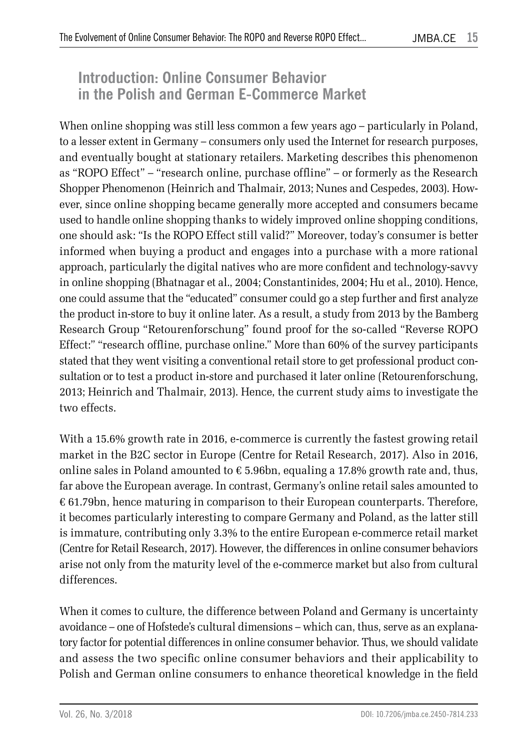### **Introduction: Online Consumer Behavior in the Polish and German E-Commerce Market**

When online shopping was still less common a few years ago – particularly in Poland, to a lesser extent in Germany – consumers only used the Internet for research purposes, and eventually bought at stationary retailers. Marketing describes this phenomenon as "ROPO Effect" – "research online, purchase offline" – or formerly as the Research Shopper Phenomenon (Heinrich and Thalmair, 2013; Nunes and Cespedes, 2003). However, since online shopping became generally more accepted and consumers became used to handle online shopping thanks to widely improved online shopping conditions, one should ask: "Is the ROPO Effect still valid?" Moreover, today's consumer is better informed when buying a product and engages into a purchase with a more rational approach, particularly the digital natives who are more confident and technology-savvy in online shopping (Bhatnagar et al., 2004; Constantinides, 2004; Hu et al., 2010). Hence, one could assume that the "educated" consumer could go a step further and first analyze the product in-store to buy it online later. As a result, a study from 2013 by the Bamberg Research Group "Retourenforschung" found proof for the so-called "Reverse ROPO Effect:" "research offline, purchase online." More than 60% of the survey participants stated that they went visiting a conventional retail store to get professional product consultation or to test a product in-store and purchased it later online (Retourenforschung, 2013; Heinrich and Thalmair, 2013). Hence, the current study aims to investigate the two effects.

With a 15.6% growth rate in 2016, e-commerce is currently the fastest growing retail market in the B2C sector in Europe (Centre for Retail Research, 2017). Also in 2016, online sales in Poland amounted to  $\epsilon$  5.96bn, equaling a 17.8% growth rate and, thus, far above the European average. In contrast, Germany's online retail sales amounted to € 61.79bn, hence maturing in comparison to their European counterparts. Therefore, it becomes particularly interesting to compare Germany and Poland, as the latter still is immature, contributing only 3.3% to the entire European e-commerce retail market (Centre for Retail Research, 2017). However, the differences in online consumer behaviors arise not only from the maturity level of the e-commerce market but also from cultural differences.

When it comes to culture, the difference between Poland and Germany is uncertainty avoidance – one of Hofstede's cultural dimensions – which can, thus, serve as an explanatory factor for potential differences in online consumer behavior. Thus, we should validate and assess the two specific online consumer behaviors and their applicability to Polish and German online consumers to enhance theoretical knowledge in the field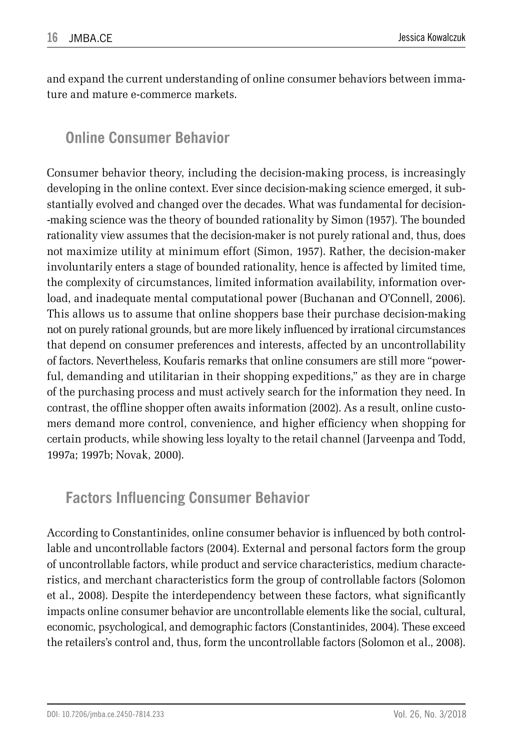and expand the current understanding of online consumer behaviors between immature and mature e-commerce markets.

## **Online Consumer Behavior**

Consumer behavior theory, including the decision-making process, is increasingly developing in the online context. Ever since decision-making science emerged, it substantially evolved and changed over the decades. What was fundamental for decision- -making science was the theory of bounded rationality by Simon (1957). The bounded rationality view assumes that the decision-maker is not purely rational and, thus, does not maximize utility at minimum effort (Simon, 1957). Rather, the decision-maker involuntarily enters a stage of bounded rationality, hence is affected by limited time, the complexity of circumstances, limited information availability, information overload, and inadequate mental computational power (Buchanan and O'Connell, 2006). This allows us to assume that online shoppers base their purchase decision-making not on purely rational grounds, but are more likely influenced by irrational circumstances that depend on consumer preferences and interests, affected by an uncontrollability of factors. Nevertheless, Koufaris remarks that online consumers are still more "powerful, demanding and utilitarian in their shopping expeditions," as they are in charge of the purchasing process and must actively search for the information they need. In contrast, the offline shopper often awaits information (2002). As a result, online customers demand more control, convenience, and higher efficiency when shopping for certain products, while showing less loyalty to the retail channel (Jarveenpa and Todd, 1997a; 1997b; Novak, 2000).

### **Factors Influencing Consumer Behavior**

According to Constantinides, online consumer behavior is influenced by both controllable and uncontrollable factors (2004). External and personal factors form the group of uncontrollable factors, while product and service characteristics, medium characteristics, and merchant characteristics form the group of controllable factors (Solomon et al., 2008). Despite the interdependency between these factors, what significantly impacts online consumer behavior are uncontrollable elements like the social, cultural, economic, psychological, and demographic factors (Constantinides, 2004). These exceed the retailers's control and, thus, form the uncontrollable factors (Solomon et al., 2008).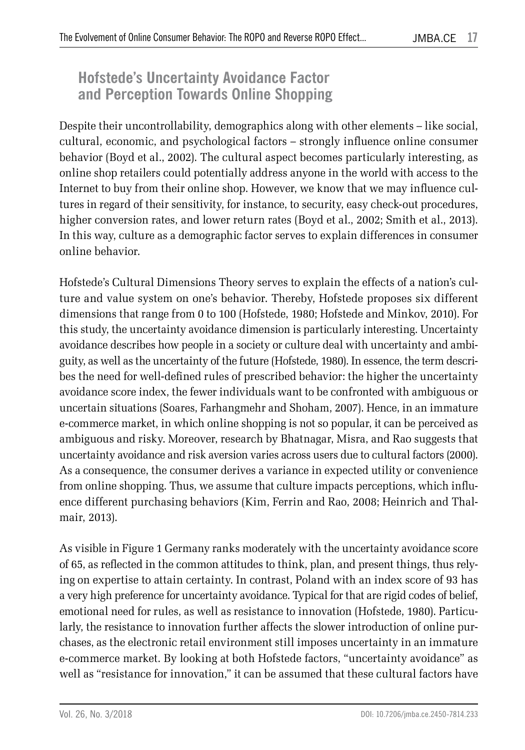## **Hofstede's Uncertainty Avoidance Factor and Perception Towards Online Shopping**

Despite their uncontrollability, demographics along with other elements – like social, cultural, economic, and psychological factors – strongly influence online consumer behavior (Boyd et al., 2002). The cultural aspect becomes particularly interesting, as online shop retailers could potentially address anyone in the world with access to the Internet to buy from their online shop. However, we know that we may influence cultures in regard of their sensitivity, for instance, to security, easy check-out procedures, higher conversion rates, and lower return rates (Boyd et al., 2002; Smith et al., 2013). In this way, culture as a demographic factor serves to explain differences in consumer online behavior.

Hofstede's Cultural Dimensions Theory serves to explain the effects of a nation's culture and value system on one's behavior. Thereby, Hofstede proposes six different dimensions that range from 0 to 100 (Hofstede, 1980; Hofstede and Minkov, 2010). For this study, the uncertainty avoidance dimension is particularly interesting. Uncertainty avoidance describes how people in a society or culture deal with uncertainty and ambiguity, as well as the uncertainty of the future (Hofstede, 1980). In essence, the term describes the need for well-defined rules of prescribed behavior: the higher the uncertainty avoidance score index, the fewer individuals want to be confronted with ambiguous or uncertain situations (Soares, Farhangmehr and Shoham, 2007). Hence, in an immature e-commerce market, in which online shopping is not so popular, it can be perceived as ambiguous and risky. Moreover, research by Bhatnagar, Misra, and Rao suggests that uncertainty avoidance and risk aversion varies across users due to cultural factors (2000). As a consequence, the consumer derives a variance in expected utility or convenience from online shopping. Thus, we assume that culture impacts perceptions, which influence different purchasing behaviors (Kim, Ferrin and Rao, 2008; Heinrich and Thalmair, 2013).

As visible in Figure 1 Germany ranks moderately with the uncertainty avoidance score of 65, as reflected in the common attitudes to think, plan, and present things, thus relying on expertise to attain certainty. In contrast, Poland with an index score of 93 has a very high preference for uncertainty avoidance. Typical for that are rigid codes of belief, emotional need for rules, as well as resistance to innovation (Hofstede, 1980). Particularly, the resistance to innovation further affects the slower introduction of online purchases, as the electronic retail environment still imposes uncertainty in an immature e-commerce market. By looking at both Hofstede factors, "uncertainty avoidance" as well as "resistance for innovation," it can be assumed that these cultural factors have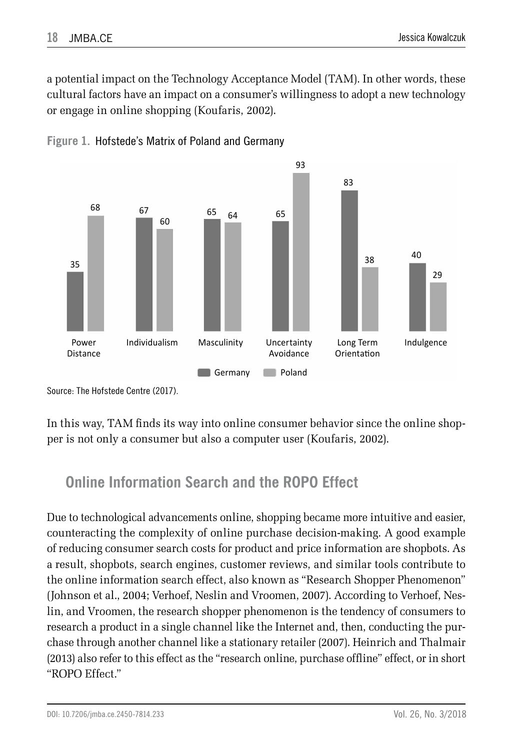a potential impact on the Technology Acceptance Model (TAM). In other words, these cultural factors have an impact on a consumer's willingness to adopt a new technology or engage in online shopping (Koufaris, 2002).





Source: The Hofstede Centre (2017).

In this way, TAM finds its way into online consumer behavior since the online shopper is not only a consumer but also a computer user (Koufaris, 2002).

## **Online Information Search and the ROPO Effect**

Due to technological advancements online, shopping became more intuitive and easier, counteracting the complexity of online purchase decision-making. A good example of reducing consumer search costs for product and price information are shopbots. As a result, shopbots, search engines, customer reviews, and similar tools contribute to the online information search effect, also known as "Research Shopper Phenomenon" (Johnson et al., 2004; Verhoef, Neslin and Vroomen, 2007). According to Verhoef, Neslin, and Vroomen, the research shopper phenomenon is the tendency of consumers to research a product in a single channel like the Internet and, then, conducting the purchase through another channel like a stationary retailer (2007). Heinrich and Thalmair (2013) also refer to this effect as the "research online, purchase offline" effect, or in short "ROPO Effect."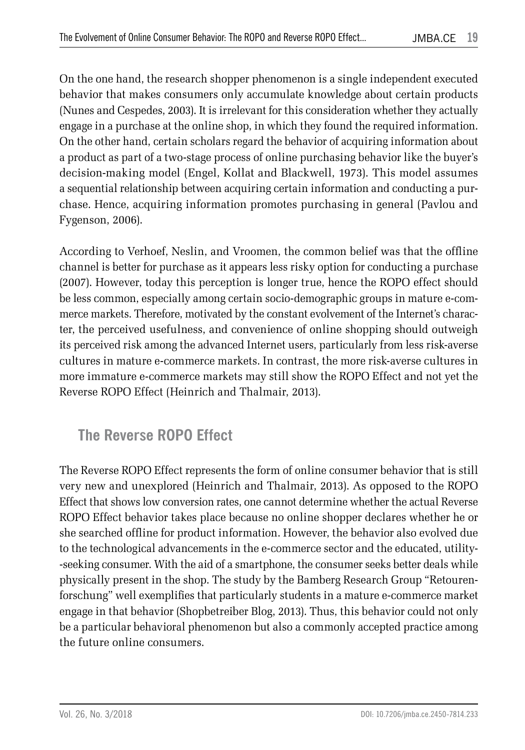On the one hand, the research shopper phenomenon is a single independent executed behavior that makes consumers only accumulate knowledge about certain products (Nunes and Cespedes, 2003). It is irrelevant for this consideration whether they actually engage in a purchase at the online shop, in which they found the required information. On the other hand, certain scholars regard the behavior of acquiring information about a product as part of a two-stage process of online purchasing behavior like the buyer's decision-making model (Engel, Kollat and Blackwell, 1973). This model assumes a sequential relationship between acquiring certain information and conducting a purchase. Hence, acquiring information promotes purchasing in general (Pavlou and Fygenson, 2006).

According to Verhoef, Neslin, and Vroomen, the common belief was that the offline channel is better for purchase as it appears less risky option for conducting a purchase (2007). However, today this perception is longer true, hence the ROPO effect should be less common, especially among certain socio-demographic groups in mature e-commerce markets. Therefore, motivated by the constant evolvement of the Internet's character, the perceived usefulness, and convenience of online shopping should outweigh its perceived risk among the advanced Internet users, particularly from less risk-averse cultures in mature e-commerce markets. In contrast, the more risk-averse cultures in more immature e-commerce markets may still show the ROPO Effect and not yet the Reverse ROPO Effect (Heinrich and Thalmair, 2013).

## **The Reverse ROPO Effect**

The Reverse ROPO Effect represents the form of online consumer behavior that is still very new and unexplored (Heinrich and Thalmair, 2013). As opposed to the ROPO Effect that shows low conversion rates, one cannot determine whether the actual Reverse ROPO Effect behavior takes place because no online shopper declares whether he or she searched offline for product information. However, the behavior also evolved due to the technological advancements in the e-commerce sector and the educated, utility- -seeking consumer. With the aid of a smartphone, the consumer seeks better deals while physically present in the shop. The study by the Bamberg Research Group "Retourenforschung" well exemplifies that particularly students in a mature e-commerce market engage in that behavior (Shopbetreiber Blog, 2013). Thus, this behavior could not only be a particular behavioral phenomenon but also a commonly accepted practice among the future online consumers.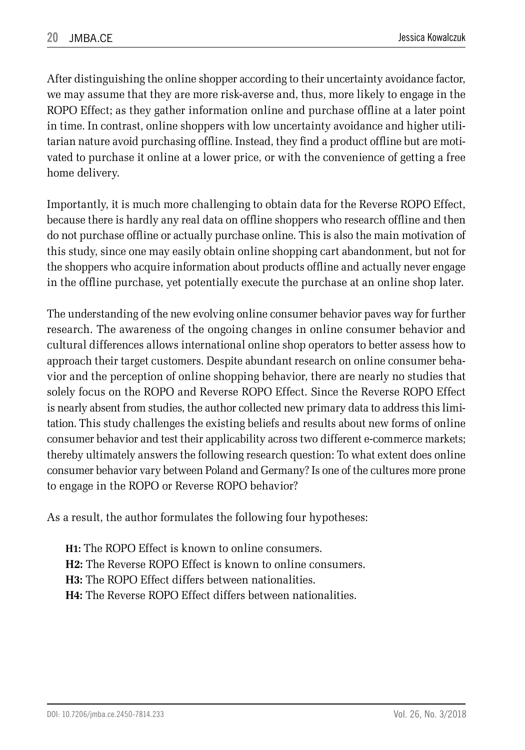After distinguishing the online shopper according to their uncertainty avoidance factor, we may assume that they are more risk-averse and, thus, more likely to engage in the ROPO Effect; as they gather information online and purchase offline at a later point in time. In contrast, online shoppers with low uncertainty avoidance and higher utilitarian nature avoid purchasing offline. Instead, they find a product offline but are motivated to purchase it online at a lower price, or with the convenience of getting a free home delivery.

Importantly, it is much more challenging to obtain data for the Reverse ROPO Effect, because there is hardly any real data on offline shoppers who research offline and then do not purchase offline or actually purchase online. This is also the main motivation of this study, since one may easily obtain online shopping cart abandonment, but not for the shoppers who acquire information about products offline and actually never engage in the offline purchase, yet potentially execute the purchase at an online shop later.

The understanding of the new evolving online consumer behavior paves way for further research. The awareness of the ongoing changes in online consumer behavior and cultural differences allows international online shop operators to better assess how to approach their target customers. Despite abundant research on online consumer behavior and the perception of online shopping behavior, there are nearly no studies that solely focus on the ROPO and Reverse ROPO Effect. Since the Reverse ROPO Effect is nearly absent from studies, the author collected new primary data to address this limitation. This study challenges the existing beliefs and results about new forms of online consumer behavior and test their applicability across two different e-commerce markets; thereby ultimately answers the following research question: To what extent does online consumer behavior vary between Poland and Germany? Is one of the cultures more prone to engage in the ROPO or Reverse ROPO behavior?

As a result, the author formulates the following four hypotheses:

**H1:** The ROPO Effect is known to online consumers. **H2:** The Reverse ROPO Effect is known to online consumers. **H3:** The ROPO Effect differs between nationalities. **H4:** The Reverse ROPO Effect differs between nationalities.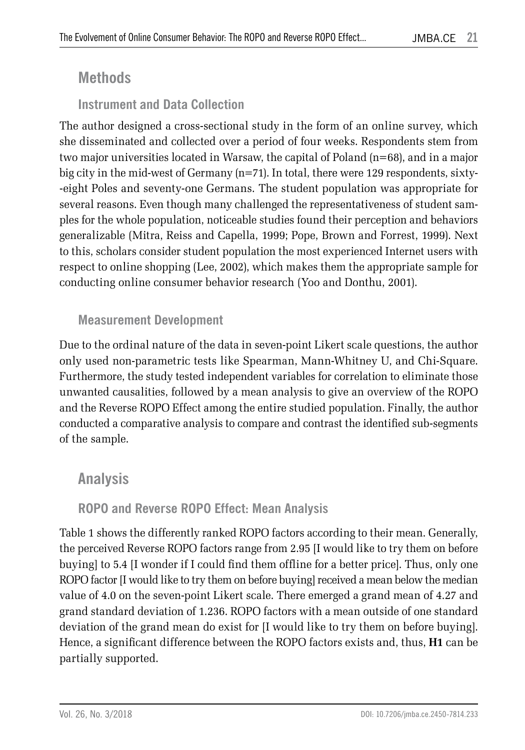### **Methods**

### **Instrument and Data Collection**

The author designed a cross-sectional study in the form of an online survey, which she disseminated and collected over a period of four weeks. Respondents stem from two major universities located in Warsaw, the capital of Poland (n=68), and in a major big city in the mid-west of Germany (n=71). In total, there were 129 respondents, sixty- -eight Poles and seventy-one Germans. The student population was appropriate for several reasons. Even though many challenged the representativeness of student samples for the whole population, noticeable studies found their perception and behaviors generalizable (Mitra, Reiss and Capella, 1999; Pope, Brown and Forrest, 1999). Next to this, scholars consider student population the most experienced Internet users with respect to online shopping (Lee, 2002), which makes them the appropriate sample for conducting online consumer behavior research (Yoo and Donthu, 2001).

### **Measurement Development**

Due to the ordinal nature of the data in seven-point Likert scale questions, the author only used non-parametric tests like Spearman, Mann-Whitney U, and Chi-Square. Furthermore, the study tested independent variables for correlation to eliminate those unwanted causalities, followed by a mean analysis to give an overview of the ROPO and the Reverse ROPO Effect among the entire studied population. Finally, the author conducted a comparative analysis to compare and contrast the identified sub-segments of the sample.

### **Analysis**

### **ROPO and Reverse ROPO Effect: Mean Analysis**

Table 1 shows the differently ranked ROPO factors according to their mean. Generally, the perceived Reverse ROPO factors range from 2.95 [I would like to try them on before buying] to 5.4 [I wonder if I could find them offline for a better price]. Thus, only one ROPO factor [I would like to try them on before buying] received a mean below the median value of 4.0 on the seven-point Likert scale. There emerged a grand mean of 4.27 and grand standard deviation of 1.236. ROPO factors with a mean outside of one standard deviation of the grand mean do exist for [I would like to try them on before buying]. Hence, a significant difference between the ROPO factors exists and, thus, **H1** can be partially supported.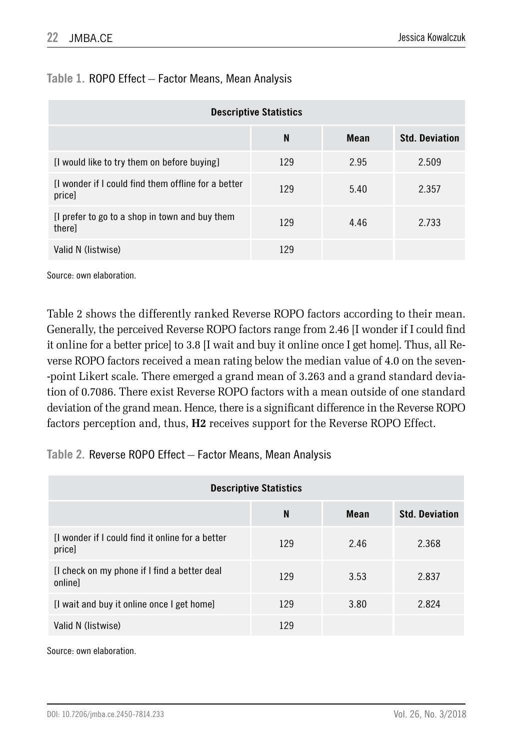| <b>Descriptive Statistics</b>                                 |     |      |                       |  |
|---------------------------------------------------------------|-----|------|-----------------------|--|
|                                                               | N   | Mean | <b>Std. Deviation</b> |  |
| [I would like to try them on before buying]                   | 129 | 2.95 | 2.509                 |  |
| If wonder if I could find them offline for a better<br>price] | 129 | 5.40 | 2.357                 |  |
| If prefer to go to a shop in town and buy them<br>therel      | 129 | 4.46 | 2.733                 |  |
| Valid N (listwise)                                            | 129 |      |                       |  |

#### **Table 1.** ROPO Effect – Factor Means, Mean Analysis

Source: own elaboration.

Table 2 shows the differently ranked Reverse ROPO factors according to their mean. Generally, the perceived Reverse ROPO factors range from 2.46 [I wonder if I could find it online for a better price] to 3.8 [I wait and buy it online once I get home]. Thus, all Reverse ROPO factors received a mean rating below the median value of 4.0 on the seven- -point Likert scale. There emerged a grand mean of 3.263 and a grand standard deviation of 0.7086. There exist Reverse ROPO factors with a mean outside of one standard deviation of the grand mean. Hence, there is a significant difference in the Reverse ROPO factors perception and, thus, **H2** receives support for the Reverse ROPO Effect.

#### **Table 2.** Reverse ROPO Effect – Factor Means, Mean Analysis

| <b>Descriptive Statistics</b>                              |     |      |                       |  |
|------------------------------------------------------------|-----|------|-----------------------|--|
|                                                            | N   | Mean | <b>Std. Deviation</b> |  |
| Il wonder if I could find it online for a better<br>price] | 129 | 2.46 | 2.368                 |  |
| [I check on my phone if I find a better deal<br>onlinel    | 129 | 3.53 | 2.837                 |  |
| [I wait and buy it online once I get home]                 | 129 | 3.80 | 2.824                 |  |
| Valid N (listwise)                                         | 129 |      |                       |  |

Source: own elaboration.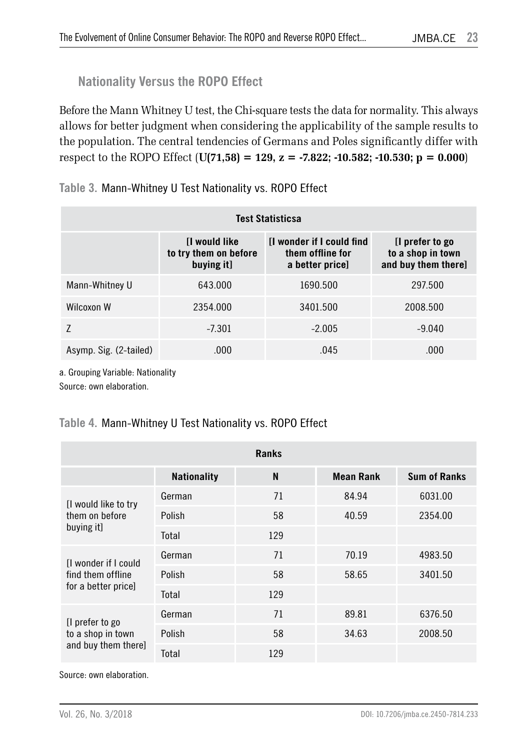### **Nationality Versus the ROPO Effect**

Before the Mann Whitney U test, the Chi-square tests the data for normality. This always allows for better judgment when considering the applicability of the sample results to the population. The central tendencies of Germans and Poles significantly differ with respect to the ROPO Effect (**U(71,58) = 129, z = -7.822; -10.582; -10.530; p = 0.000**)

|  |  | Table 3. Mann-Whitney U Test Nationality vs. ROPO Effect |  |
|--|--|----------------------------------------------------------|--|
|--|--|----------------------------------------------------------|--|

| Test Statisticsa       |                                                            |                                                                         |                                                             |  |
|------------------------|------------------------------------------------------------|-------------------------------------------------------------------------|-------------------------------------------------------------|--|
|                        | <b>I</b> would like<br>to try them on before<br>buying it] | <b>If wonder if I could find</b><br>them offline for<br>a better price] | [I prefer to go<br>to a shop in town<br>and buy them there] |  |
| Mann-Whitney U         | 643.000                                                    | 1690.500                                                                | 297.500                                                     |  |
| Wilcoxon W             | 2354.000                                                   | 3401.500                                                                | 2008.500                                                    |  |
|                        | $-7.301$                                                   | $-2.005$                                                                | $-9.040$                                                    |  |
| Asymp. Sig. (2-tailed) | .000                                                       | .045                                                                    | .000                                                        |  |

a. Grouping Variable: Nationality

Source: own elaboration.

#### **Table 4.** Mann-Whitney U Test Nationality vs. ROPO Effect

| <b>Ranks</b>                                                    |                    |     |                  |                     |  |
|-----------------------------------------------------------------|--------------------|-----|------------------|---------------------|--|
|                                                                 | <b>Nationality</b> | N   | <b>Mean Rank</b> | <b>Sum of Ranks</b> |  |
| [I would like to try<br>them on before<br>buying it]            | German             | 71  | 84.94            | 6031.00             |  |
|                                                                 | Polish             | 58  | 40.59            | 2354.00             |  |
|                                                                 | Total              | 129 |                  |                     |  |
| I wonder if I could<br>find them offline<br>for a better price] | German             | 71  | 70.19            | 4983.50             |  |
|                                                                 | Polish             | 58  | 58.65            | 3401.50             |  |
|                                                                 | Total              | 129 |                  |                     |  |
| [I prefer to go<br>to a shop in town<br>and buy them there]     | German             | 71  | 89.81            | 6376.50             |  |
|                                                                 | Polish             | 58  | 34.63            | 2008.50             |  |
|                                                                 | Total              | 129 |                  |                     |  |

Source: own elaboration.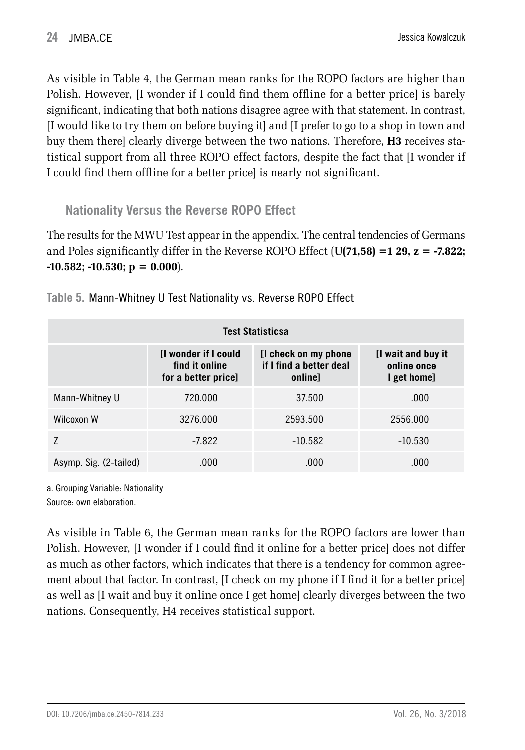As visible in Table 4, the German mean ranks for the ROPO factors are higher than Polish. However, [I wonder if I could find them offline for a better price] is barely significant, indicating that both nations disagree agree with that statement. In contrast, [I would like to try them on before buying it] and [I prefer to go to a shop in town and buy them there] clearly diverge between the two nations. Therefore, **H3** receives statistical support from all three ROPO effect factors, despite the fact that [I wonder if I could find them offline for a better price] is nearly not significant.

**Nationality Versus the Reverse ROPO Effect**

The results for the MWU Test appear in the appendix. The central tendencies of Germans and Poles significantly differ in the Reverse ROPO Effect (**U(71,58) =1 29, z = -7.822; -10.582; -10.530; p = 0.000**).

| <b>Test Statisticsa</b> |                                                               |                                                  |           |  |
|-------------------------|---------------------------------------------------------------|--------------------------------------------------|-----------|--|
|                         | [I wonder if I could<br>find it online<br>for a better price] | [I wait and buy it<br>online once<br>I get home] |           |  |
| Mann-Whitney U          | 720.000                                                       | 37.500                                           | .000      |  |
| Wilcoxon W              | 3276.000                                                      | 2593.500                                         | 2556.000  |  |
|                         | $-7.822$                                                      | $-10.582$                                        | $-10.530$ |  |
| Asymp. Sig. (2-tailed)  | .000                                                          | .000.                                            | .000      |  |

**Table 5.** Mann-Whitney U Test Nationality vs. Reverse ROPO Effect

a. Grouping Variable: Nationality Source: own elaboration.

As visible in Table 6, the German mean ranks for the ROPO factors are lower than Polish. However, [I wonder if I could find it online for a better price] does not differ as much as other factors, which indicates that there is a tendency for common agreement about that factor. In contrast, [I check on my phone if I find it for a better price] as well as [I wait and buy it online once I get home] clearly diverges between the two nations. Consequently, H4 receives statistical support.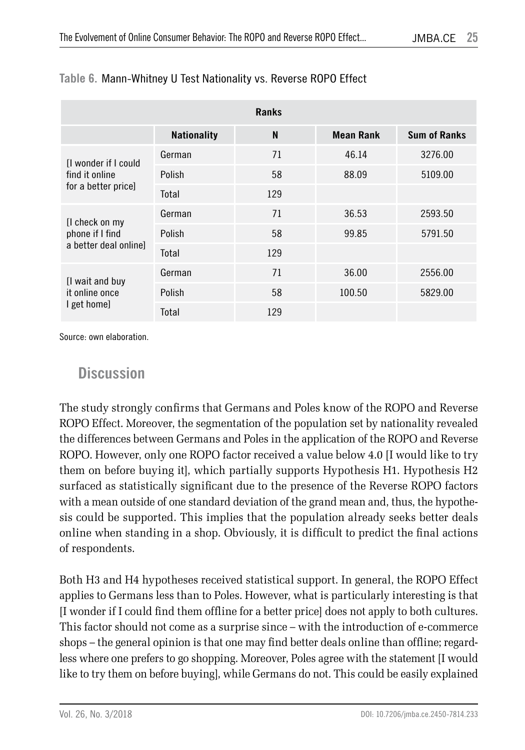| <b>Ranks</b>                                                 |                    |     |                  |                     |  |
|--------------------------------------------------------------|--------------------|-----|------------------|---------------------|--|
|                                                              | <b>Nationality</b> | N   | <b>Mean Rank</b> | <b>Sum of Ranks</b> |  |
| I wonder if I could<br>find it online<br>for a better pricel | German             | 71  | 46.14            | 3276.00             |  |
|                                                              | Polish             | 58  | 88.09            | 5109.00             |  |
|                                                              | Total              | 129 |                  |                     |  |
| [I check on my<br>phone if I find<br>a better deal online]   | German             | 71  | 36.53            | 2593.50             |  |
|                                                              | Polish             | 58  | 99.85            | 5791.50             |  |
|                                                              | Total              | 129 |                  |                     |  |
| [I wait and buy<br>it online once<br>I get home]             | German             | 71  | 36.00            | 2556.00             |  |
|                                                              | Polish             | 58  | 100.50           | 5829.00             |  |
|                                                              | Total              | 129 |                  |                     |  |

#### **Table 6.** Mann-Whitney U Test Nationality vs. Reverse ROPO Effect

Source: own elaboration.

### **Discussion**

The study strongly confirms that Germans and Poles know of the ROPO and Reverse ROPO Effect. Moreover, the segmentation of the population set by nationality revealed the differences between Germans and Poles in the application of the ROPO and Reverse ROPO. However, only one ROPO factor received a value below 4.0 [I would like to try them on before buying it], which partially supports Hypothesis H1. Hypothesis H2 surfaced as statistically significant due to the presence of the Reverse ROPO factors with a mean outside of one standard deviation of the grand mean and, thus, the hypothesis could be supported. This implies that the population already seeks better deals online when standing in a shop. Obviously, it is difficult to predict the final actions of respondents.

Both H3 and H4 hypotheses received statistical support. In general, the ROPO Effect applies to Germans less than to Poles. However, what is particularly interesting is that [I wonder if I could find them offline for a better price] does not apply to both cultures. This factor should not come as a surprise since – with the introduction of e-commerce shops – the general opinion is that one may find better deals online than offline; regardless where one prefers to go shopping. Moreover, Poles agree with the statement [I would like to try them on before buying], while Germans do not. This could be easily explained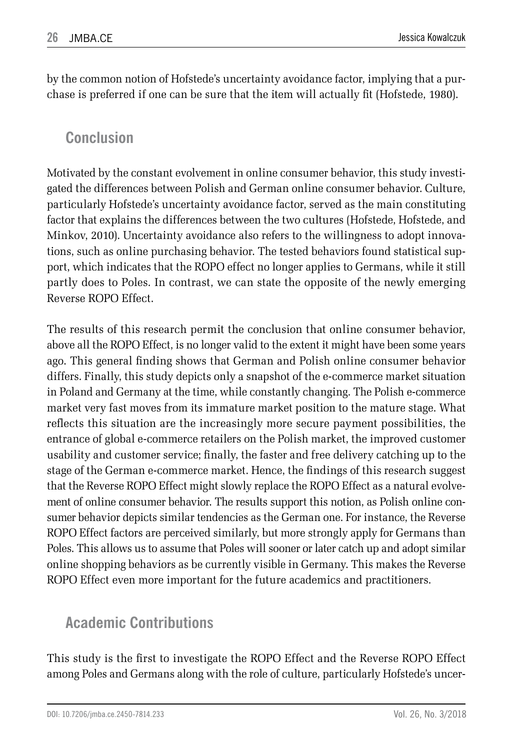by the common notion of Hofstede's uncertainty avoidance factor, implying that a purchase is preferred if one can be sure that the item will actually fit (Hofstede, 1980).

### **Conclusion**

Motivated by the constant evolvement in online consumer behavior, this study investigated the differences between Polish and German online consumer behavior. Culture, particularly Hofstede's uncertainty avoidance factor, served as the main constituting factor that explains the differences between the two cultures (Hofstede, Hofstede, and Minkov, 2010). Uncertainty avoidance also refers to the willingness to adopt innovations, such as online purchasing behavior. The tested behaviors found statistical support, which indicates that the ROPO effect no longer applies to Germans, while it still partly does to Poles. In contrast, we can state the opposite of the newly emerging Reverse ROPO Effect.

The results of this research permit the conclusion that online consumer behavior, above all the ROPO Effect, is no longer valid to the extent it might have been some years ago. This general finding shows that German and Polish online consumer behavior differs. Finally, this study depicts only a snapshot of the e-commerce market situation in Poland and Germany at the time, while constantly changing. The Polish e-commerce market very fast moves from its immature market position to the mature stage. What reflects this situation are the increasingly more secure payment possibilities, the entrance of global e-commerce retailers on the Polish market, the improved customer usability and customer service; finally, the faster and free delivery catching up to the stage of the German e-commerce market. Hence, the findings of this research suggest that the Reverse ROPO Effect might slowly replace the ROPO Effect as a natural evolvement of online consumer behavior. The results support this notion, as Polish online consumer behavior depicts similar tendencies as the German one. For instance, the Reverse ROPO Effect factors are perceived similarly, but more strongly apply for Germans than Poles. This allows us to assume that Poles will sooner or later catch up and adopt similar online shopping behaviors as be currently visible in Germany. This makes the Reverse ROPO Effect even more important for the future academics and practitioners.

## **Academic Contributions**

This study is the first to investigate the ROPO Effect and the Reverse ROPO Effect among Poles and Germans along with the role of culture, particularly Hofstede's uncer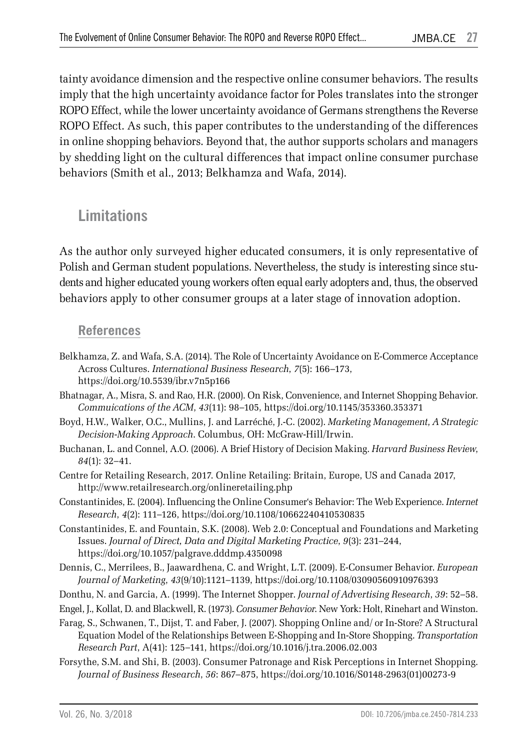tainty avoidance dimension and the respective online consumer behaviors. The results imply that the high uncertainty avoidance factor for Poles translates into the stronger ROPO Effect, while the lower uncertainty avoidance of Germans strengthens the Reverse ROPO Effect. As such, this paper contributes to the understanding of the differences in online shopping behaviors. Beyond that, the author supports scholars and managers by shedding light on the cultural differences that impact online consumer purchase behaviors (Smith et al., 2013; Belkhamza and Wafa, 2014).

### **Limitations**

As the author only surveyed higher educated consumers, it is only representative of Polish and German student populations. Nevertheless, the study is interesting since students and higher educated young workers often equal early adopters and, thus, the observed behaviors apply to other consumer groups at a later stage of innovation adoption.

#### **References**

- Belkhamza, Z. and Wafa, S.A. (2014). The Role of Uncertainty Avoidance on E-Commerce Acceptance Across Cultures. *International Business Research*, *7*(5): 166–173, https://doi.org/10.5539/ibr.v7n5p166
- Bhatnagar, A., Misra, S. and Rao, H.R. (2000). On Risk, Convenience, and Internet Shopping Behavior. *Commuications of the ACM*, *43*(11): 98–105, https://doi.org/10.1145/353360.353371
- Boyd, H.W., Walker, O.C., Mullins, J. and Larréché, J.-C. (2002). *Marketing Management, A Strategic Decision-Making Approach*. Columbus, OH: McGraw-Hill/Irwin.
- Buchanan, L. and Connel, A.O. (2006). A Brief History of Decision Making. *Harvard Business Review*, *84*(1): 32–41.
- Centre for Retailing Research, 2017. Online Retailing: Britain, Europe, US and Canada 2017, http://www.retailresearch.org/onlineretailing.php
- Constantinides, E. (2004). Influencing the Online Consumer's Behavior: The Web Experience. *Internet Research*, *4*(2): 111–126, https://doi.org/10.1108/10662240410530835
- Constantinides, E. and Fountain, S.K. (2008). Web 2.0: Conceptual and Foundations and Marketing Issues. *Journal of Direct, Data and Digital Marketing Practice*, *9*(3): 231–244, https://doi.org/10.1057/palgrave.dddmp.4350098
- Dennis, C., Merrilees, B., Jaawardhena, C. and Wright, L.T. (2009). E-Consumer Behavior. *European Journal of Marketing*, *43*(9/10):1121–1139, https://doi.org/10.1108/03090560910976393
- Donthu, N. and Garcia, A. (1999). The Internet Shopper. *Journal of Advertising Research*, *39*: 52–58.
- Engel, J., Kollat, D. and Blackwell, R. (1973). *Consumer Behavior*. New York: Holt, Rinehart and Winston.
- Farag, S., Schwanen, T., Dijst, T. and Faber, J. (2007). Shopping Online and/ or In-Store? A Structural Equation Model of the Relationships Between E-Shopping and In-Store Shopping. *Transportation Research Part*, A(41): 125–141, https://doi.org/10.1016/j.tra.2006.02.003
- Forsythe, S.M. and Shi, B. (2003). Consumer Patronage and Risk Perceptions in Internet Shopping. *Journal of Business Research*, *56*: 867–875, https://doi.org/10.1016/S0148-2963(01)00273-9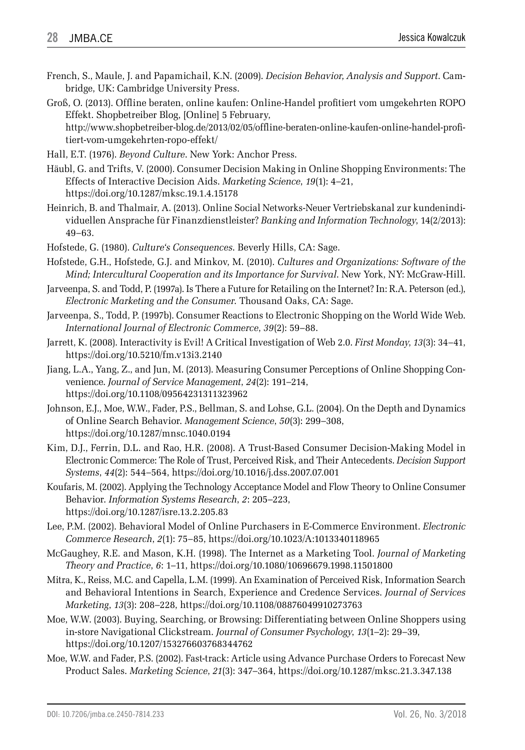French, S., Maule, J. and Papamichail, K.N. (2009). *Decision Behavior, Analysis and Support*. Cambridge, UK: Cambridge University Press.

Groß, O. (2013). Offline beraten, online kaufen: Online-Handel profitiert vom umgekehrten ROPO Effekt. Shopbetreiber Blog, [Online] 5 February, http://www.shopbetreiber-blog.de/2013/02/05/offline-beraten-online-kaufen-online-handel-profitiert-vom-umgekehrten-ropo-effekt/

- Hall, E.T. (1976). *Beyond Culture*. New York: Anchor Press.
- Häubl, G. and Trifts, V. (2000). Consumer Decision Making in Online Shopping Environments: The Effects of Interactive Decision Aids. *Marketing Science*, *19*(1): 4–21, https://doi.org/10.1287/mksc.19.1.4.15178
- Heinrich, B. and Thalmair, A. (2013). Online Social Networks-Neuer Vertriebskanal zur kundenindividuellen Ansprache für Finanzdienstleister? *Banking and Information Technology*, 14(2/2013): 49–63.
- Hofstede, G. (1980). *Culture's Consequences*. Beverly Hills, CA: Sage.
- Hofstede, G.H., Hofstede, G.J. and Minkov, M. (2010). *Cultures and Organizations: Software of the Mind; Intercultural Cooperation and its Importance for Survival*. New York, NY: McGraw-Hill.
- Jarveenpa, S. and Todd, P. (1997a). Is There a Future for Retailing on the Internet? In: R.A. Peterson (ed.), *Electronic Marketing and the Consumer*. Thousand Oaks, CA: Sage.
- Jarveenpa, S., Todd, P. (1997b). Consumer Reactions to Electronic Shopping on the World Wide Web. *International Journal of Electronic Commerce*, *39*(2): 59–88.
- Jarrett, K. (2008). Interactivity is Evil! A Critical Investigation of Web 2.0. *First Monday*, *13*(3): 34–41, https://doi.org/10.5210/fm.v13i3.2140
- Jiang, L.A., Yang, Z., and Jun, M. (2013). Measuring Consumer Perceptions of Online Shopping Convenience. *Journal of Service Management*, *24*(2): 191–214, https://doi.org/10.1108/09564231311323962
- Johnson, E.J., Moe, W.W., Fader, P.S., Bellman, S. and Lohse, G.L. (2004). On the Depth and Dynamics of Online Search Behavior. *Management Science*, *50*(3): 299–308, https://doi.org/10.1287/mnsc.1040.0194
- Kim, D.J., Ferrin, D.L. and Rao, H.R. (2008). A Trust-Based Consumer Decision-Making Model in Electronic Commerce: The Role of Trust, Perceived Risk, and Their Antecedents. *Decision Support Systems*, *44*(2): 544–564, https://doi.org/10.1016/j.dss.2007.07.001
- Koufaris, M. (2002). Applying the Technology Acceptance Model and Flow Theory to Online Consumer Behavior. *Information Systems Research*, *2*: 205–223, https://doi.org/10.1287/isre.13.2.205.83
- Lee, P.M. (2002). Behavioral Model of Online Purchasers in E-Commerce Environment. *Electronic Commerce Research*, *2*(1): 75–85, https://doi.org/10.1023/A:1013340118965
- McGaughey, R.E. and Mason, K.H. (1998). The Internet as a Marketing Tool. *Journal of Marketing Theory and Practice*, *6*: 1–11, https://doi.org/10.1080/10696679.1998.11501800
- Mitra, K., Reiss, M.C. and Capella, L.M. (1999). An Examination of Perceived Risk, Information Search and Behavioral Intentions in Search, Experience and Credence Services. *Journal of Services Marketing*, *13*(3): 208–228, https://doi.org/10.1108/08876049910273763
- Moe, W.W. (2003). Buying, Searching, or Browsing: Differentiating between Online Shoppers using in-store Navigational Clickstream. *Journal of Consumer Psychology*, *13*(1–2): 29–39, https://doi.org/10.1207/153276603768344762
- Moe, W.W. and Fader, P.S. (2002). Fast-track: Article using Advance Purchase Orders to Forecast New Product Sales. *Marketing Science*, *21*(3): 347–364, https://doi.org/10.1287/mksc.21.3.347.138